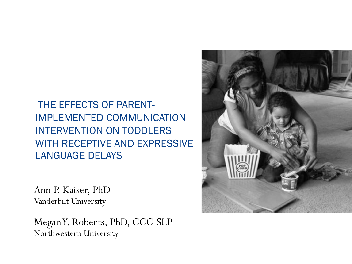THE EFFECTS OF PARENT-IMPLEMENTED COMMUNICATION INTERVENTION ON TODDLERS WITH RECEPTIVE AND EXPRESSIVE LANGUAGE DELAYS

Ann P. Kaiser, PhD Vanderbilt University

Megan Y. Roberts, PhD, CCC-SLP Northwestern University

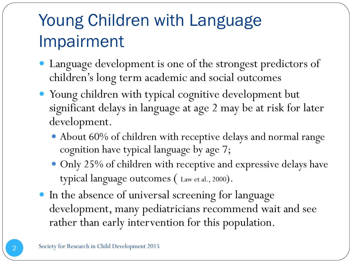## Young Children with Language Impairment

- Language development is one of the strongest predictors of children's long term academic and social outcomes
- Young children with typical cognitive development but significant delays in language at age 2 may be at risk for later development.
	- About 60% of children with receptive delays and normal range cognition have typical language by age 7;
	- Only 25% of children with receptive and expressive delays have typical language outcomes ( Law et al., 2000).
- In the absence of universal screening for language development, many pediatricians recommend wait and see rather than early intervention for this population.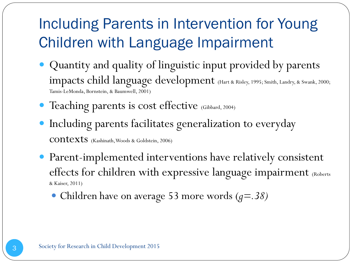#### Including Parents in Intervention for Young Children with Language Impairment

- Quantity and quality of linguistic input provided by parents impacts child language development (Hart & Risley, 1995; Smith, Landry, & Swank, 2000; Tamis-LeMonda, Bornstein, & Baumwell, 2001)
- Teaching parents is cost effective (Gibbard, 2004)
- Including parents facilitates generalization to everyday contexts (Kashinath, Woods & Goldstein, 2006)
- Parent-implemented interventions have relatively consistent effects for children with expressive language impairment (Roberts & Kaiser, 2011)
	- Children have on average 53 more words (*g=.38)*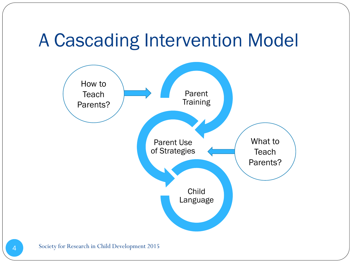#### A Cascading Intervention Model

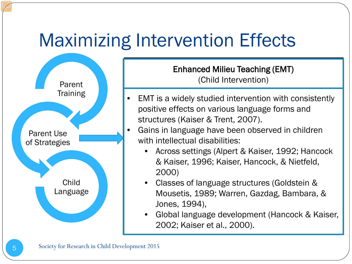# Maximizing Intervention Effects



Enhanced Milieu Teaching (EMT) rea minea reaen<br>Child Intorvontic (Child Intervention)

- Matched turns Percentage of adult turns that are in  $\bullet$  EMT is a widely studied intervention with consistently positive process of various language forms and positive effects on various language forms and structures (Kaiser & Trent, 2007).
- $\alpha$  none, 2007). with intellectual disabilities: with intellectual disabilities: • Gains in language have been observed in children
- Across settings (Alpert & Kaiser, 1992; Hancock & Kaiser, 1996; Kaiser, Hancock, & Nietfeld, 2000)
- Classes of language structures (Goldstein &  $P$  $\pi$ ),  $\tau$ Mousetis, 1989; Warren, Gazdag, Bambara, & Jones, 1994),
	- Global language development (Hancock & Kaiser, 2002; Kaiser et al., 2000).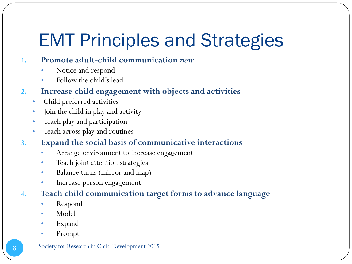# EMT Principles and Strategies

#### **1. Promote adult-child communication** *now*

- Notice and respond
- Follow the child's lead
- **2. Increase child engagement with objects and activities**
	- Child preferred activities
	- Join the child in play and activity
	- Teach play and participation
	- Teach across play and routines
- **3. Expand the social basis of communicative interactions**
	- Arrange environment to increase engagement
	- Teach joint attention strategies
	- Balance turns (mirror and map)
	- Increase person engagement
- **4. Teach child communication target forms to advance language**
	- Respond
	- Model
	- Expand
	- Prompt

#### Society for Research in Child Development 2015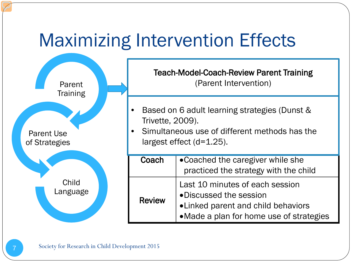# Maximizing Intervention Effects

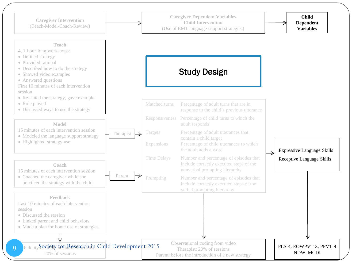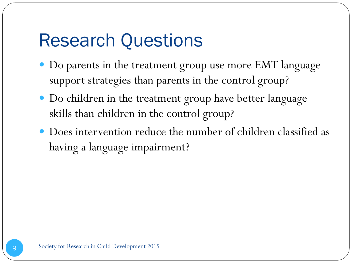# Research Questions

- Do parents in the treatment group use more EMT language support strategies than parents in the control group?
- Do children in the treatment group have better language skills than children in the control group?
- Does intervention reduce the number of children classified as having a language impairment?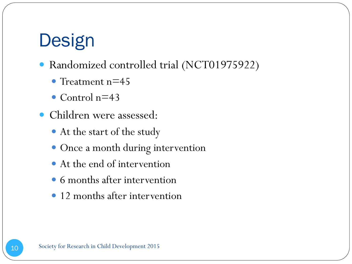# **Design**

- Randomized controlled trial (NCT01975922)
	- Treatment  $n=45$
	- Control  $n=43$
- Children were assessed:
	- At the start of the study
	- Once a month during intervention
	- At the end of intervention
	- 6 months after intervention
	- 12 months after intervention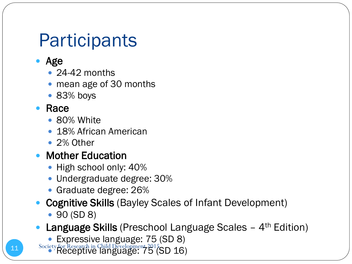#### **Participants**

- Age
	- $\cdot$  24-42 months
	- mean age of 30 months
	- 83% boys

#### Race

- 80% White
- 18% African American
- 2% Other
- Mother Education
	- $\bullet$  High school only: 40%
	- Undergraduate degree: 30%
	- Graduate degree: 26%
- Cognitive Skills (Bayley Scales of Infant Development)
	- 90 (SD 8)
- **Language Skills** (Preschool Language Scales  $-4$ <sup>th</sup> Edition)
	- Expressive language: 75 (SD 8)
- 11 Society for Research in Child Development 2015 SD 16)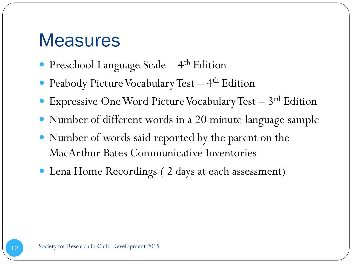#### **Measures**

- Preschool Language Scale 4<sup>th</sup> Edition
- Peabody Picture Vocabulary Test  $-4$ <sup>th</sup> Edition
- Expressive One Word Picture Vocabulary Test  $-3^{\rm rd}$  Edition
- Number of different words in a 20 minute language sample
- Number of words said reported by the parent on the MacArthur Bates Communicative Inventories
- Lena Home Recordings ( 2 days at each assessment)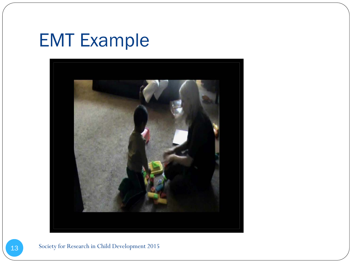# EMT Example



#### Society for Research in Child Development 2015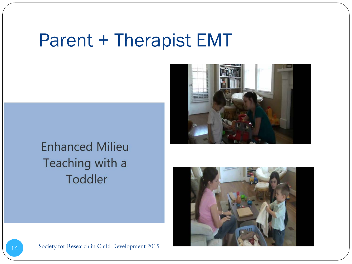#### Parent + Therapist EMT



#### **Enhanced Milieu** Teaching with a Toddler

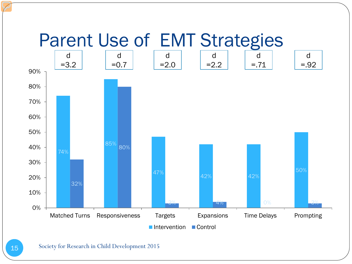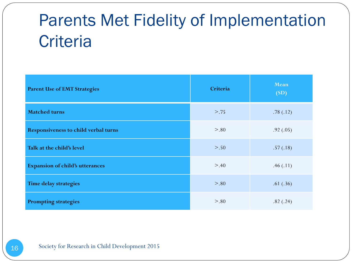#### Parents Met Fidelity of Implementation **Criteria**

| <b>Parent Use of EMT Strategies</b>         | Criteria | Mean<br>(SD) |
|---------------------------------------------|----------|--------------|
| <b>Matched turns</b>                        | >.75     | .78(.12)     |
| <b>Responsiveness to child verbal turns</b> | > 0.80   | .92(.05)     |
| Talk at the child's level                   | $> 0.50$ | .57(.18)     |
| <b>Expansion of child's utterances</b>      | > .40    | .46(.11)     |
| <b>Time delay strategies</b>                | > 0.80   | .61(.36)     |
| <b>Prompting strategies</b>                 | > 0.80   | .82(.24)     |

16 Society for Research in Child Development 2015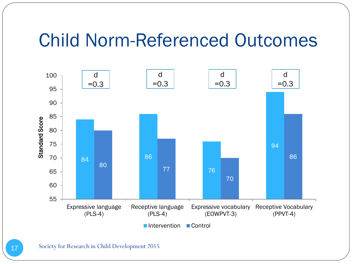#### Child Norm-Referenced Outcomes



Society for Research in Child Development 2015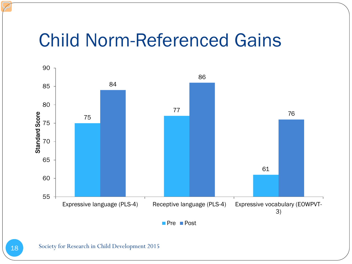#### Child Norm-Referenced Gains

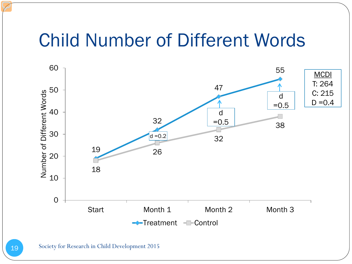#### Child Number of Different Words

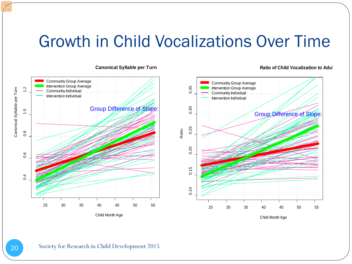#### Growth in Child Vocalizations Over Time



#### **Canonical Syllable per Turn**

#### **Ratio of Child Vocalization to Adul**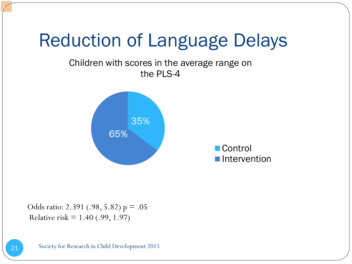## Reduction of Language Delays

#### Children with scores in the average range on the PLS-4



Control **Intervention** 

Odds ratio: 2.391 (.98, 5.82)  $p = .05$ Relative risk  $= 1.40$  (.99, 1.97)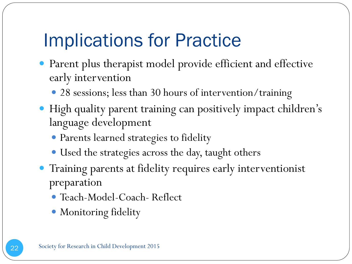#### Implications for Practice

- Parent plus therapist model provide efficient and effective early intervention
	- 28 sessions; less than 30 hours of intervention/training
- High quality parent training can positively impact children's language development
	- Parents learned strategies to fidelity
	- Used the strategies across the day, taught others
- Training parents at fidelity requires early interventionist preparation
	- Teach-Model-Coach- Reflect
	- Monitoring fidelity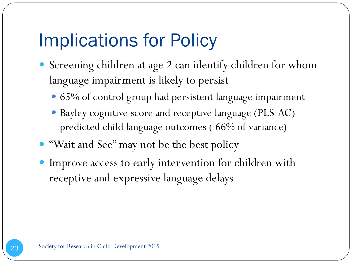#### Implications for Policy

- Screening children at age 2 can identify children for whom language impairment is likely to persist
	- 65% of control group had persistent language impairment
	- Bayley cognitive score and receptive language (PLS-AC) predicted child language outcomes ( 66% of variance)
- "Wait and See" may not be the best policy
- Improve access to early intervention for children with receptive and expressive language delays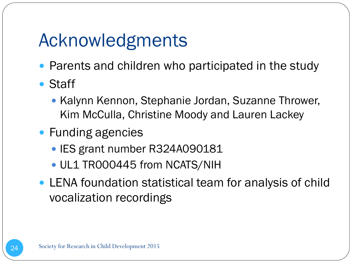# Acknowledgments

- Parents and children who participated in the study
- Staff
	- Kalynn Kennon, Stephanie Jordan, Suzanne Thrower, Kim McCulla, Christine Moody and Lauren Lackey
- Funding agencies
	- IES grant number R324A090181
	- UL1 TR000445 from NCATS/NIH
- LENA foundation statistical team for analysis of child vocalization recordings